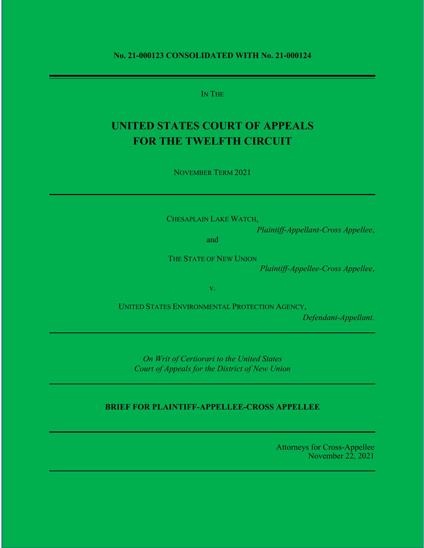#### **No. 21-000123 CONSOLIDATED WITH No. 21-000124**

IN THE

# **UNITED STATES COURT OF APPEALS FOR THE TWELFTH CIRCUIT**

NOVEMBER TERM 2021

CHESAPLAIN LAKE WATCH,

*Plaintiff-Appellant-Cross Appellee*,

and

THE STATE OF NEW UNION

*Plaintiff-Appellee-Cross Appellee*,

v.

UNITED STATES ENVIRONMENTAL PROTECTION AGENCY,

*Defendant-Appellant.*

*On Writ of Certiorari to the United States Court of Appeals for the District of New Union*

## **BRIEF FOR PLAINTIFF-APPELLEE-CROSS APPELLEE**

Attorneys for Cross-Appellee November 22, 2021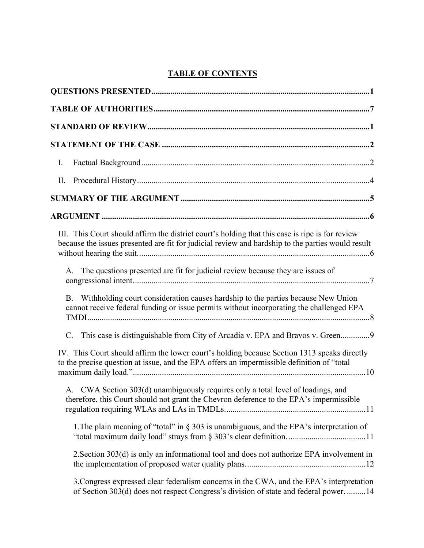## **TABLE OF CONTENTS**

| Ι.                                                                                                                                                                                                   |
|------------------------------------------------------------------------------------------------------------------------------------------------------------------------------------------------------|
| П.                                                                                                                                                                                                   |
|                                                                                                                                                                                                      |
|                                                                                                                                                                                                      |
| III. This Court should affirm the district court's holding that this case is ripe is for review<br>because the issues presented are fit for judicial review and hardship to the parties would result |
| A. The questions presented are fit for judicial review because they are issues of                                                                                                                    |
| Withholding court consideration causes hardship to the parties because New Union<br><b>B.</b><br>cannot receive federal funding or issue permits without incorporating the challenged EPA            |
| This case is distinguishable from City of Arcadia v. EPA and Bravos v. Green9<br>C.                                                                                                                  |
| IV. This Court should affirm the lower court's holding because Section 1313 speaks directly<br>to the precise question at issue, and the EPA offers an impermissible definition of "total            |
| A. CWA Section 303(d) unambiguously requires only a total level of loadings, and<br>therefore, this Court should not grant the Chevron deference to the EPA's impermissible                          |
| 1. The plain meaning of "total" in $\S 303$ is unambiguous, and the EPA's interpretation of                                                                                                          |
| 2. Section 303(d) is only an informational tool and does not authorize EPA involvement in                                                                                                            |
| 3. Congress expressed clear federalism concerns in the CWA, and the EPA's interpretation<br>of Section 303(d) does not respect Congress's division of state and federal power.  14                   |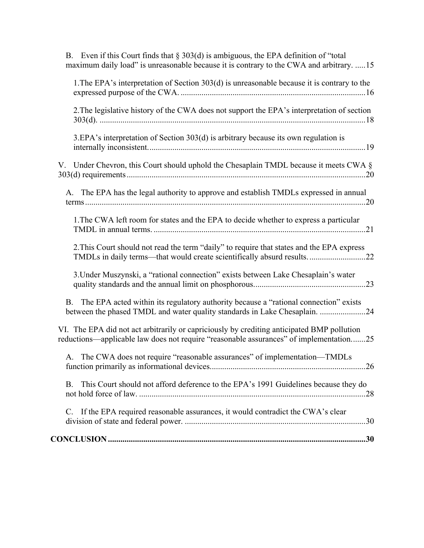| B. Even if this Court finds that $\S 303(d)$ is ambiguous, the EPA definition of "total<br>maximum daily load" is unreasonable because it is contrary to the CWA and arbitrary. 15   |
|--------------------------------------------------------------------------------------------------------------------------------------------------------------------------------------|
| 1. The EPA's interpretation of Section 303(d) is unreasonable because it is contrary to the                                                                                          |
| 2. The legislative history of the CWA does not support the EPA's interpretation of section                                                                                           |
| 3.EPA's interpretation of Section 303(d) is arbitrary because its own regulation is                                                                                                  |
| V. Under Chevron, this Court should uphold the Chesaplain TMDL because it meets CWA $\S$                                                                                             |
| A. The EPA has the legal authority to approve and establish TMDLs expressed in annual                                                                                                |
| 1. The CWA left room for states and the EPA to decide whether to express a particular                                                                                                |
| 2. This Court should not read the term "daily" to require that states and the EPA express<br>TMDLs in daily terms—that would create scientifically absurd results22                  |
| 3. Under Muszynski, a "rational connection" exists between Lake Chesaplain's water                                                                                                   |
| The EPA acted within its regulatory authority because a "rational connection" exists<br><b>B.</b><br>between the phased TMDL and water quality standards in Lake Chesaplain. 24      |
| VI. The EPA did not act arbitrarily or capriciously by crediting anticipated BMP pollution<br>reductions—applicable law does not require "reasonable assurances" of implementation25 |
| A. The CWA does not require "reasonable assurances" of implementation—TMDLs                                                                                                          |
| This Court should not afford deference to the EPA's 1991 Guidelines because they do<br>B.                                                                                            |
| If the EPA required reasonable assurances, it would contradict the CWA's clear<br>C.                                                                                                 |
|                                                                                                                                                                                      |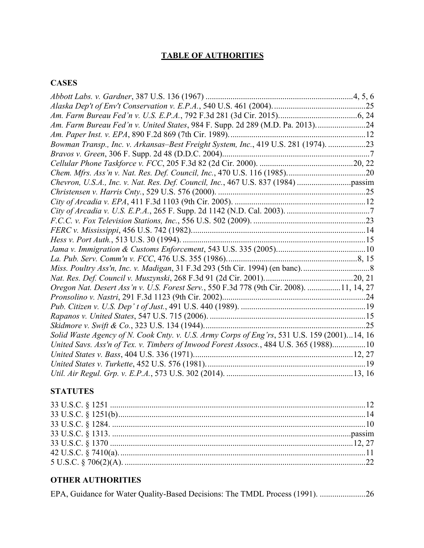## **TABLE OF AUTHORITIES**

## **CASES**

| Am. Farm Bureau Fed'n v. United States, 984 F. Supp. 2d 289 (M.D. Pa. 2013)24               |  |
|---------------------------------------------------------------------------------------------|--|
|                                                                                             |  |
| Bowman Transp., Inc. v. Arkansas-Best Freight System, Inc., 419 U.S. 281 (1974). 23         |  |
|                                                                                             |  |
|                                                                                             |  |
|                                                                                             |  |
|                                                                                             |  |
|                                                                                             |  |
|                                                                                             |  |
|                                                                                             |  |
|                                                                                             |  |
|                                                                                             |  |
|                                                                                             |  |
|                                                                                             |  |
|                                                                                             |  |
|                                                                                             |  |
|                                                                                             |  |
| Oregon Nat. Desert Ass'n v. U.S. Forest Serv., 550 F.3d 778 (9th Cir. 2008). 11, 14, 27     |  |
|                                                                                             |  |
|                                                                                             |  |
|                                                                                             |  |
|                                                                                             |  |
| Solid Waste Agency of N. Cook Cnty. v. U.S. Army Corps of Eng'rs, 531 U.S. 159 (2001)14, 16 |  |
| United Savs. Ass'n of Tex. v. Timbers of Inwood Forest Assocs., 484 U.S. 365 (1988)10       |  |
|                                                                                             |  |
|                                                                                             |  |
|                                                                                             |  |

## **STATUTES**

## **OTHER AUTHORITIES**

|  |  |  |  | EPA, Guidance for Water Quality-Based Decisions: The TMDL Process (1991). 26 |
|--|--|--|--|------------------------------------------------------------------------------|
|  |  |  |  |                                                                              |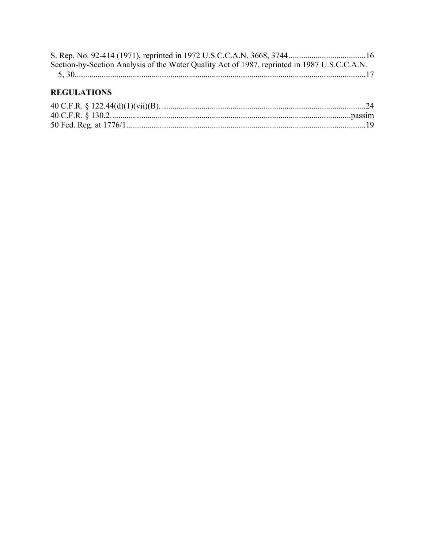| Section-by-Section Analysis of the Water Quality Act of 1987, reprinted in 1987 U.S.C.C.A.N. |  |
|----------------------------------------------------------------------------------------------|--|
|                                                                                              |  |

## **REGULATIONS**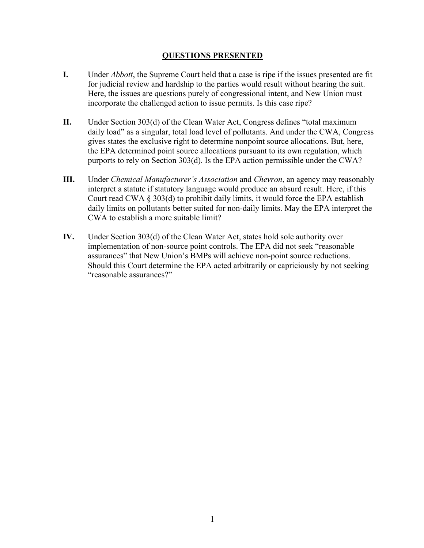### **QUESTIONS PRESENTED**

- **I.** Under *Abbott*, the Supreme Court held that a case is ripe if the issues presented are fit for judicial review and hardship to the parties would result without hearing the suit. Here, the issues are questions purely of congressional intent, and New Union must incorporate the challenged action to issue permits. Is this case ripe?
- **II.** Under Section 303(d) of the Clean Water Act, Congress defines "total maximum daily load" as a singular, total load level of pollutants. And under the CWA, Congress gives states the exclusive right to determine nonpoint source allocations. But, here, the EPA determined point source allocations pursuant to its own regulation, which purports to rely on Section 303(d). Is the EPA action permissible under the CWA?
- **III.** Under *Chemical Manufacturer's Association* and *Chevron*, an agency may reasonably interpret a statute if statutory language would produce an absurd result. Here, if this Court read CWA § 303(d) to prohibit daily limits, it would force the EPA establish daily limits on pollutants better suited for non-daily limits. May the EPA interpret the CWA to establish a more suitable limit?
- **IV.** Under Section 303(d) of the Clean Water Act, states hold sole authority over implementation of non-source point controls. The EPA did not seek "reasonable assurances" that New Union's BMPs will achieve non-point source reductions. Should this Court determine the EPA acted arbitrarily or capriciously by not seeking "reasonable assurances?"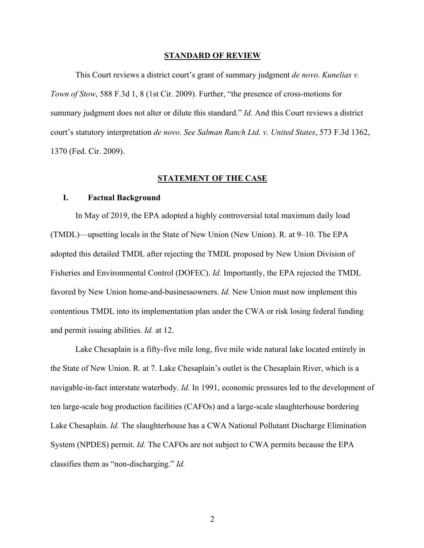#### **STANDARD OF REVIEW**

This Court reviews a district court's grant of summary judgment *de novo*. *Kunelias v. Town of Stow*, 588 F.3d 1, 8 (1st Cir. 2009). Further, "the presence of cross-motions for summary judgment does not alter or dilute this standard." *Id.* And this Court reviews a district court's statutory interpretation *de novo*. *See Salman Ranch Ltd. v. United States*, 573 F.3d 1362, 1370 (Fed. Cir. 2009).

#### **STATEMENT OF THE CASE**

#### **I. Factual Background**

In May of 2019, the EPA adopted a highly controversial total maximum daily load (TMDL)—upsetting locals in the State of New Union (New Union). R. at 9–10. The EPA adopted this detailed TMDL after rejecting the TMDL proposed by New Union Division of Fisheries and Environmental Control (DOFEC). *Id.* Importantly, the EPA rejected the TMDL favored by New Union home-and-businessowners. *Id.* New Union must now implement this contentious TMDL into its implementation plan under the CWA or risk losing federal funding and permit issuing abilities. *Id.* at 12.

Lake Chesaplain is a fifty-five mile long, five mile wide natural lake located entirely in the State of New Union. R. at 7. Lake Chesaplain's outlet is the Chesaplain River, which is a navigable-in-fact interstate waterbody. *Id.* In 1991, economic pressures led to the development of ten large-scale hog production facilities (CAFOs) and a large-scale slaughterhouse bordering Lake Chesaplain. *Id.* The slaughterhouse has a CWA National Pollutant Discharge Elimination System (NPDES) permit. *Id.* The CAFOs are not subject to CWA permits because the EPA classifies them as "non-discharging." *Id.*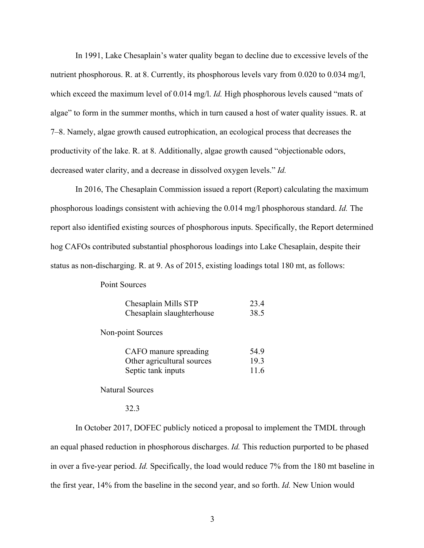In 1991, Lake Chesaplain's water quality began to decline due to excessive levels of the nutrient phosphorous. R. at 8. Currently, its phosphorous levels vary from 0.020 to 0.034 mg/l, which exceed the maximum level of 0.014 mg/l. *Id*. High phosphorous levels caused "mats of algae" to form in the summer months, which in turn caused a host of water quality issues. R. at 7–8. Namely, algae growth caused eutrophication, an ecological process that decreases the productivity of the lake. R. at 8. Additionally, algae growth caused "objectionable odors, decreased water clarity, and a decrease in dissolved oxygen levels." *Id.*

In 2016, The Chesaplain Commission issued a report (Report) calculating the maximum phosphorous loadings consistent with achieving the 0.014 mg/l phosphorous standard. *Id.* The report also identified existing sources of phosphorous inputs. Specifically, the Report determined hog CAFOs contributed substantial phosphorous loadings into Lake Chesaplain, despite their status as non-discharging. R. at 9. As of 2015, existing loadings total 180 mt, as follows:

Point Sources

| Chesaplain Mills STP      | 23.4 |
|---------------------------|------|
| Chesaplain slaughterhouse | 38.5 |

Non-point Sources

| CAFO manure spreading      | 54.9 |
|----------------------------|------|
| Other agricultural sources | 19.3 |
| Septic tank inputs         | 11.6 |

Natural Sources

#### 32.3

In October 2017, DOFEC publicly noticed a proposal to implement the TMDL through an equal phased reduction in phosphorous discharges. *Id.* This reduction purported to be phased in over a five-year period. *Id.* Specifically, the load would reduce 7% from the 180 mt baseline in the first year, 14% from the baseline in the second year, and so forth. *Id.* New Union would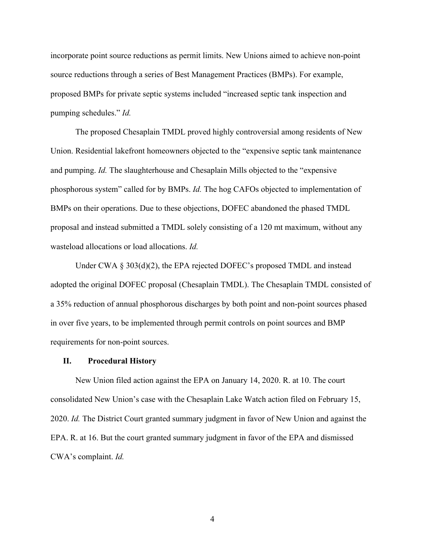incorporate point source reductions as permit limits. New Unions aimed to achieve non-point source reductions through a series of Best Management Practices (BMPs). For example, proposed BMPs for private septic systems included "increased septic tank inspection and pumping schedules." *Id.*

The proposed Chesaplain TMDL proved highly controversial among residents of New Union. Residential lakefront homeowners objected to the "expensive septic tank maintenance and pumping. *Id.* The slaughterhouse and Chesaplain Mills objected to the "expensive phosphorous system" called for by BMPs. *Id.* The hog CAFOs objected to implementation of BMPs on their operations. Due to these objections, DOFEC abandoned the phased TMDL proposal and instead submitted a TMDL solely consisting of a 120 mt maximum, without any wasteload allocations or load allocations. *Id.*

Under CWA  $\S 303(d)(2)$ , the EPA rejected DOFEC's proposed TMDL and instead adopted the original DOFEC proposal (Chesaplain TMDL). The Chesaplain TMDL consisted of a 35% reduction of annual phosphorous discharges by both point and non-point sources phased in over five years, to be implemented through permit controls on point sources and BMP requirements for non-point sources.

#### **II. Procedural History**

New Union filed action against the EPA on January 14, 2020. R. at 10. The court consolidated New Union's case with the Chesaplain Lake Watch action filed on February 15, 2020. *Id.* The District Court granted summary judgment in favor of New Union and against the EPA. R. at 16. But the court granted summary judgment in favor of the EPA and dismissed CWA's complaint. *Id.*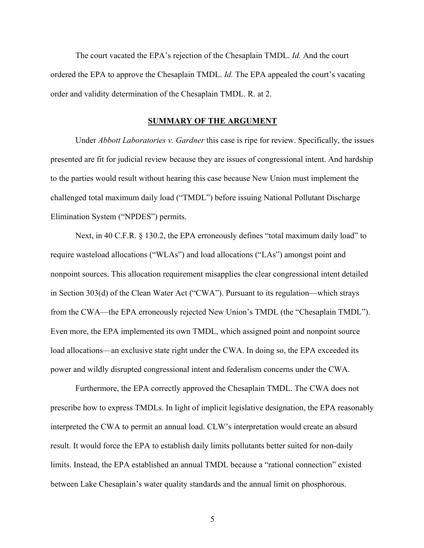The court vacated the EPA's rejection of the Chesaplain TMDL. *Id.* And the court ordered the EPA to approve the Chesaplain TMDL. *Id.* The EPA appealed the court's vacating order and validity determination of the Chesaplain TMDL. R. at 2.

#### **SUMMARY OF THE ARGUMENT**

Under *Abbott Laboratories v. Gardner* this case is ripe for review. Specifically, the issues presented are fit for judicial review because they are issues of congressional intent. And hardship to the parties would result without hearing this case because New Union must implement the challenged total maximum daily load ("TMDL") before issuing National Pollutant Discharge Elimination System ("NPDES") permits.

Next, in 40 C.F.R. § 130.2, the EPA erroneously defines "total maximum daily load" to require wasteload allocations ("WLAs") and load allocations ("LAs") amongst point and nonpoint sources. This allocation requirement misapplies the clear congressional intent detailed in Section 303(d) of the Clean Water Act ("CWA"). Pursuant to its regulation—which strays from the CWA—the EPA erroneously rejected New Union's TMDL (the "Chesaplain TMDL"). Even more, the EPA implemented its own TMDL, which assigned point and nonpoint source load allocations—an exclusive state right under the CWA. In doing so, the EPA exceeded its power and wildly disrupted congressional intent and federalism concerns under the CWA.

Furthermore, the EPA correctly approved the Chesaplain TMDL. The CWA does not prescribe how to express TMDLs. In light of implicit legislative designation, the EPA reasonably interpreted the CWA to permit an annual load. CLW's interpretation would create an absurd result. It would force the EPA to establish daily limits pollutants better suited for non-daily limits. Instead, the EPA established an annual TMDL because a "rational connection" existed between Lake Chesaplain's water quality standards and the annual limit on phosphorous.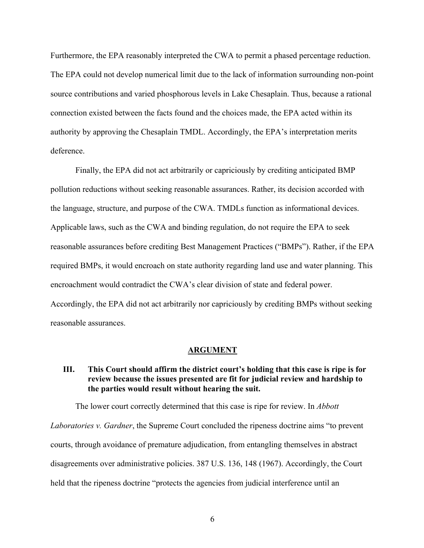Furthermore, the EPA reasonably interpreted the CWA to permit a phased percentage reduction. The EPA could not develop numerical limit due to the lack of information surrounding non-point source contributions and varied phosphorous levels in Lake Chesaplain. Thus, because a rational connection existed between the facts found and the choices made, the EPA acted within its authority by approving the Chesaplain TMDL. Accordingly, the EPA's interpretation merits deference.

Finally, the EPA did not act arbitrarily or capriciously by crediting anticipated BMP pollution reductions without seeking reasonable assurances. Rather, its decision accorded with the language, structure, and purpose of the CWA. TMDLs function as informational devices. Applicable laws, such as the CWA and binding regulation, do not require the EPA to seek reasonable assurances before crediting Best Management Practices ("BMPs"). Rather, if the EPA required BMPs, it would encroach on state authority regarding land use and water planning. This encroachment would contradict the CWA's clear division of state and federal power. Accordingly, the EPA did not act arbitrarily nor capriciously by crediting BMPs without seeking reasonable assurances.

#### **ARGUMENT**

## **III. This Court should affirm the district court's holding that this case is ripe is for review because the issues presented are fit for judicial review and hardship to the parties would result without hearing the suit.**

The lower court correctly determined that this case is ripe for review. In *Abbott Laboratories v. Gardner*, the Supreme Court concluded the ripeness doctrine aims "to prevent courts, through avoidance of premature adjudication, from entangling themselves in abstract disagreements over administrative policies. 387 U.S. 136, 148 (1967). Accordingly, the Court held that the ripeness doctrine "protects the agencies from judicial interference until an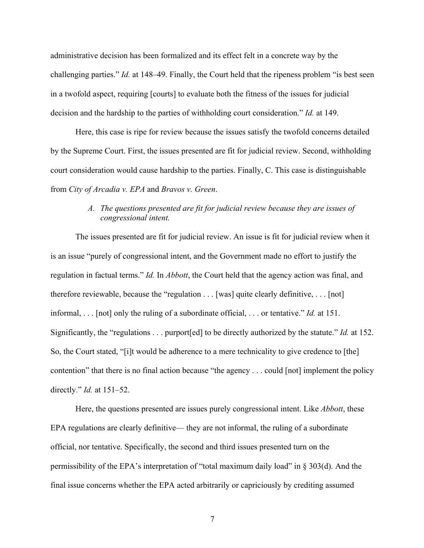administrative decision has been formalized and its effect felt in a concrete way by the challenging parties." *Id.* at 148–49. Finally, the Court held that the ripeness problem "is best seen in a twofold aspect, requiring [courts] to evaluate both the fitness of the issues for judicial decision and the hardship to the parties of withholding court consideration." *Id.* at 149.

Here, this case is ripe for review because the issues satisfy the twofold concerns detailed by the Supreme Court. First, the issues presented are fit for judicial review. Second, withholding court consideration would cause hardship to the parties. Finally, C. This case is distinguishable from *City of Arcadia v. EPA* and *Bravos v. Green*.

## *A. The questions presented are fit for judicial review because they are issues of congressional intent.*

The issues presented are fit for judicial review. An issue is fit for judicial review when it is an issue "purely of congressional intent, and the Government made no effort to justify the regulation in factual terms." *Id.* In *Abbott*, the Court held that the agency action was final, and therefore reviewable, because the "regulation . . . [was] quite clearly definitive, . . . [not] informal, . . . [not] only the ruling of a subordinate official, . . . or tentative." *Id.* at 151. Significantly, the "regulations . . . purport[ed] to be directly authorized by the statute." *Id.* at 152. So, the Court stated, "[i]t would be adherence to a mere technicality to give credence to [the] contention" that there is no final action because "the agency . . . could [not] implement the policy directly." *Id.* at 151–52.

Here, the questions presented are issues purely congressional intent. Like *Abbott*, these EPA regulations are clearly definitive— they are not informal, the ruling of a subordinate official, nor tentative. Specifically, the second and third issues presented turn on the permissibility of the EPA's interpretation of "total maximum daily load" in § 303(d). And the final issue concerns whether the EPA acted arbitrarily or capriciously by crediting assumed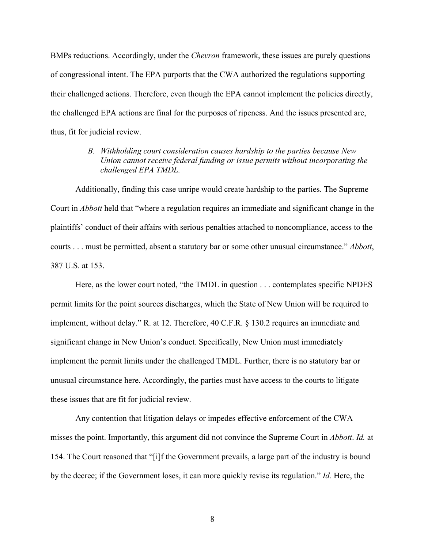BMPs reductions. Accordingly, under the *Chevron* framework, these issues are purely questions of congressional intent. The EPA purports that the CWA authorized the regulations supporting their challenged actions. Therefore, even though the EPA cannot implement the policies directly, the challenged EPA actions are final for the purposes of ripeness. And the issues presented are, thus, fit for judicial review.

## *B. Withholding court consideration causes hardship to the parties because New Union cannot receive federal funding or issue permits without incorporating the challenged EPA TMDL.*

Additionally, finding this case unripe would create hardship to the parties. The Supreme Court in *Abbott* held that "where a regulation requires an immediate and significant change in the plaintiffs' conduct of their affairs with serious penalties attached to noncompliance, access to the courts . . . must be permitted, absent a statutory bar or some other unusual circumstance." *Abbott*, 387 U.S. at 153.

Here, as the lower court noted, "the TMDL in question . . . contemplates specific NPDES permit limits for the point sources discharges, which the State of New Union will be required to implement, without delay." R. at 12. Therefore, 40 C.F.R. § 130.2 requires an immediate and significant change in New Union's conduct. Specifically, New Union must immediately implement the permit limits under the challenged TMDL. Further, there is no statutory bar or unusual circumstance here. Accordingly, the parties must have access to the courts to litigate these issues that are fit for judicial review.

Any contention that litigation delays or impedes effective enforcement of the CWA misses the point. Importantly, this argument did not convince the Supreme Court in *Abbott*. *Id.* at 154. The Court reasoned that "[i]f the Government prevails, a large part of the industry is bound by the decree; if the Government loses, it can more quickly revise its regulation." *Id.* Here, the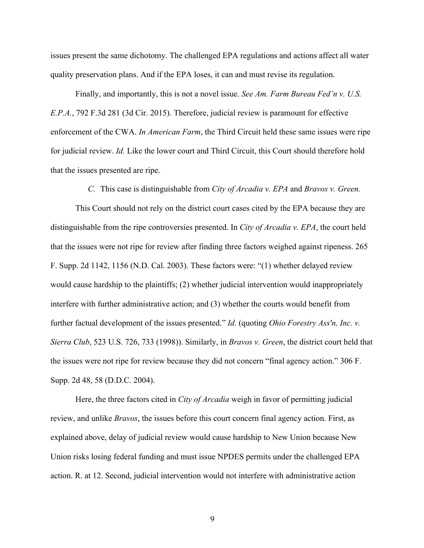issues present the same dichotomy. The challenged EPA regulations and actions affect all water quality preservation plans. And if the EPA loses, it can and must revise its regulation.

Finally, and importantly, this is not a novel issue. *See Am. Farm Bureau Fed'n v. U.S. E.P.A.*, 792 F.3d 281 (3d Cir. 2015). Therefore, judicial review is paramount for effective enforcement of the CWA. *In American Farm*, the Third Circuit held these same issues were ripe for judicial review. *Id.* Like the lower court and Third Circuit, this Court should therefore hold that the issues presented are ripe.

*C.* This case is distinguishable from *City of Arcadia v. EPA* and *Bravos v. Green.*

This Court should not rely on the district court cases cited by the EPA because they are distinguishable from the ripe controversies presented. In *City of Arcadia v. EPA*, the court held that the issues were not ripe for review after finding three factors weighed against ripeness. 265 F. Supp. 2d 1142, 1156 (N.D. Cal. 2003). These factors were: "(1) whether delayed review would cause hardship to the plaintiffs; (2) whether judicial intervention would inappropriately interfere with further administrative action; and (3) whether the courts would benefit from further factual development of the issues presented." *Id.* (quoting *Ohio Forestry Ass'n, Inc. v. Sierra Club*, 523 U.S. 726, 733 (1998)). Similarly, in *Bravos v. Green*, the district court held that the issues were not ripe for review because they did not concern "final agency action." 306 F. Supp. 2d 48, 58 (D.D.C. 2004).

Here, the three factors cited in *City of Arcadia* weigh in favor of permitting judicial review, and unlike *Bravos*, the issues before this court concern final agency action. First, as explained above, delay of judicial review would cause hardship to New Union because New Union risks losing federal funding and must issue NPDES permits under the challenged EPA action. R. at 12. Second, judicial intervention would not interfere with administrative action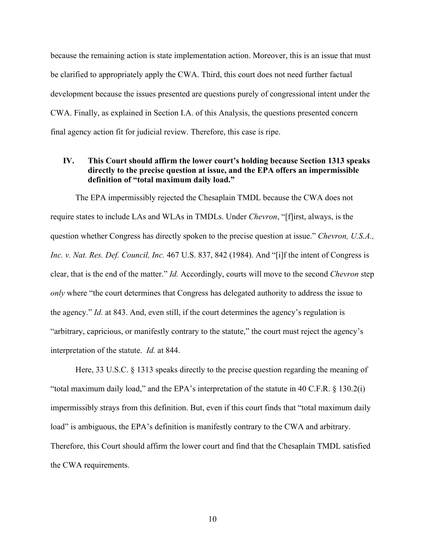because the remaining action is state implementation action. Moreover, this is an issue that must be clarified to appropriately apply the CWA. Third, this court does not need further factual development because the issues presented are questions purely of congressional intent under the CWA. Finally, as explained in Section I.A. of this Analysis, the questions presented concern final agency action fit for judicial review. Therefore, this case is ripe.

## **IV. This Court should affirm the lower court's holding because Section 1313 speaks directly to the precise question at issue, and the EPA offers an impermissible definition of "total maximum daily load."**

The EPA impermissibly rejected the Chesaplain TMDL because the CWA does not require states to include LAs and WLAs in TMDLs. Under *Chevron*, "[f]irst, always, is the question whether Congress has directly spoken to the precise question at issue." *Chevron, U.S.A., Inc. v. Nat. Res. Def. Council, Inc.* 467 U.S. 837, 842 (1984). And "[i]f the intent of Congress is clear, that is the end of the matter." *Id.* Accordingly, courts will move to the second *Chevron* step *only* where "the court determines that Congress has delegated authority to address the issue to the agency." *Id.* at 843. And, even still, if the court determines the agency's regulation is "arbitrary, capricious, or manifestly contrary to the statute," the court must reject the agency's interpretation of the statute. *Id.* at 844.

Here, 33 U.S.C. § 1313 speaks directly to the precise question regarding the meaning of "total maximum daily load," and the EPA's interpretation of the statute in 40 C.F.R. § 130.2(i) impermissibly strays from this definition. But, even if this court finds that "total maximum daily load" is ambiguous, the EPA's definition is manifestly contrary to the CWA and arbitrary. Therefore, this Court should affirm the lower court and find that the Chesaplain TMDL satisfied the CWA requirements.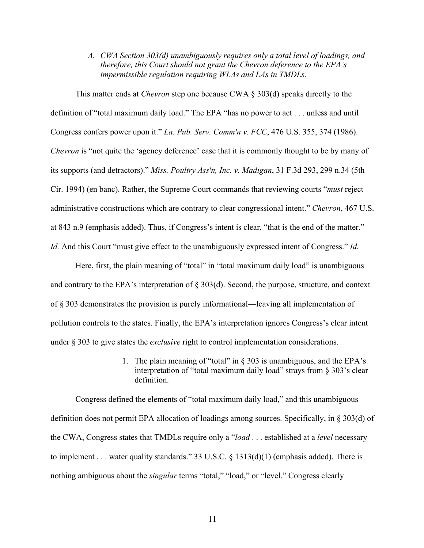*A. CWA Section 303(d) unambiguously requires only a total level of loadings, and therefore, this Court should not grant the Chevron deference to the EPA's impermissible regulation requiring WLAs and LAs in TMDLs.* 

This matter ends at *Chevron* step one because CWA § 303(d) speaks directly to the definition of "total maximum daily load." The EPA "has no power to act . . . unless and until Congress confers power upon it." *La. Pub. Serv. Comm'n v. FCC*, 476 U.S. 355, 374 (1986). *Chevron* is "not quite the 'agency deference' case that it is commonly thought to be by many of its supports (and detractors)." *Miss. Poultry Ass'n, Inc. v. Madigan*, 31 F.3d 293, 299 n.34 (5th Cir. 1994) (en banc). Rather, the Supreme Court commands that reviewing courts "*must* reject administrative constructions which are contrary to clear congressional intent." *Chevron*, 467 U.S. at 843 n.9 (emphasis added). Thus, if Congress's intent is clear, "that is the end of the matter." *Id.* And this Court "must give effect to the unambiguously expressed intent of Congress." *Id.* 

Here, first, the plain meaning of "total" in "total maximum daily load" is unambiguous and contrary to the EPA's interpretation of § 303(d). Second, the purpose, structure, and context of § 303 demonstrates the provision is purely informational—leaving all implementation of pollution controls to the states. Finally, the EPA's interpretation ignores Congress's clear intent under § 303 to give states the *exclusive* right to control implementation considerations.

> 1. The plain meaning of "total" in § 303 is unambiguous, and the EPA's interpretation of "total maximum daily load" strays from § 303's clear definition.

Congress defined the elements of "total maximum daily load," and this unambiguous definition does not permit EPA allocation of loadings among sources. Specifically, in § 303(d) of the CWA, Congress states that TMDLs require only a "*load* . . . established at a *level* necessary to implement . . . water quality standards." 33 U.S.C. § 1313(d)(1) (emphasis added). There is nothing ambiguous about the *singular* terms "total," "load," or "level." Congress clearly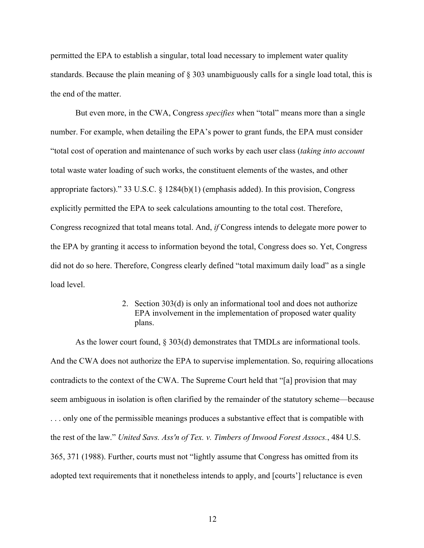permitted the EPA to establish a singular, total load necessary to implement water quality standards. Because the plain meaning of § 303 unambiguously calls for a single load total, this is the end of the matter.

But even more, in the CWA, Congress *specifies* when "total" means more than a single number. For example, when detailing the EPA's power to grant funds, the EPA must consider "total cost of operation and maintenance of such works by each user class (*taking into account*  total waste water loading of such works, the constituent elements of the wastes, and other appropriate factors)." 33 U.S.C. § 1284(b)(1) (emphasis added). In this provision, Congress explicitly permitted the EPA to seek calculations amounting to the total cost. Therefore, Congress recognized that total means total. And, *if* Congress intends to delegate more power to the EPA by granting it access to information beyond the total, Congress does so. Yet, Congress did not do so here. Therefore, Congress clearly defined "total maximum daily load" as a single load level.

> 2. Section 303(d) is only an informational tool and does not authorize EPA involvement in the implementation of proposed water quality plans.

As the lower court found, § 303(d) demonstrates that TMDLs are informational tools. And the CWA does not authorize the EPA to supervise implementation. So, requiring allocations contradicts to the context of the CWA. The Supreme Court held that "[a] provision that may seem ambiguous in isolation is often clarified by the remainder of the statutory scheme—because . . . only one of the permissible meanings produces a substantive effect that is compatible with the rest of the law." *United Savs. Ass'n of Tex. v. Timbers of Inwood Forest Assocs.*, 484 U.S. 365, 371 (1988). Further, courts must not "lightly assume that Congress has omitted from its adopted text requirements that it nonetheless intends to apply, and [courts'] reluctance is even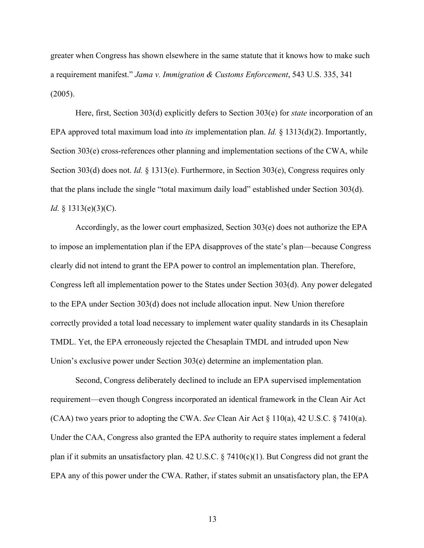greater when Congress has shown elsewhere in the same statute that it knows how to make such a requirement manifest." *Jama v. Immigration & Customs Enforcement*, 543 U.S. 335, 341 (2005).

Here, first, Section 303(d) explicitly defers to Section 303(e) for *state* incorporation of an EPA approved total maximum load into *its* implementation plan. *Id.* § 1313(d)(2). Importantly, Section 303(e) cross-references other planning and implementation sections of the CWA, while Section 303(d) does not. *Id.* § 1313(e). Furthermore, in Section 303(e), Congress requires only that the plans include the single "total maximum daily load" established under Section 303(d). *Id.* § 1313(e)(3)(C).

Accordingly, as the lower court emphasized, Section 303(e) does not authorize the EPA to impose an implementation plan if the EPA disapproves of the state's plan—because Congress clearly did not intend to grant the EPA power to control an implementation plan. Therefore, Congress left all implementation power to the States under Section 303(d). Any power delegated to the EPA under Section 303(d) does not include allocation input. New Union therefore correctly provided a total load necessary to implement water quality standards in its Chesaplain TMDL. Yet, the EPA erroneously rejected the Chesaplain TMDL and intruded upon New Union's exclusive power under Section 303(e) determine an implementation plan.

Second, Congress deliberately declined to include an EPA supervised implementation requirement—even though Congress incorporated an identical framework in the Clean Air Act (CAA) two years prior to adopting the CWA. *See* Clean Air Act § 110(a), 42 U.S.C. § 7410(a). Under the CAA, Congress also granted the EPA authority to require states implement a federal plan if it submits an unsatisfactory plan. 42 U.S.C. § 7410(c)(1). But Congress did not grant the EPA any of this power under the CWA. Rather, if states submit an unsatisfactory plan, the EPA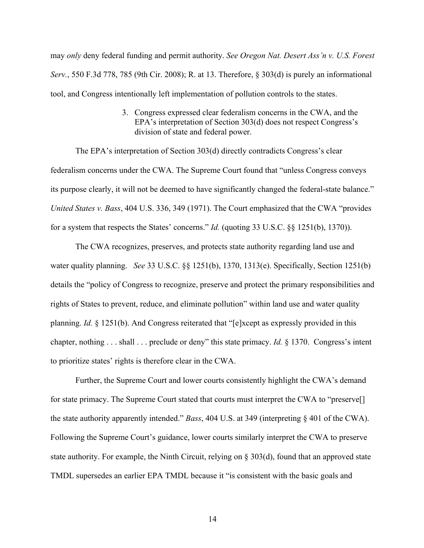may *only* deny federal funding and permit authority. *See Oregon Nat. Desert Ass'n v. U.S. Forest Serv.*, 550 F.3d 778, 785 (9th Cir. 2008); R. at 13. Therefore, § 303(d) is purely an informational tool, and Congress intentionally left implementation of pollution controls to the states.

> 3. Congress expressed clear federalism concerns in the CWA, and the EPA's interpretation of Section 303(d) does not respect Congress's division of state and federal power.

The EPA's interpretation of Section 303(d) directly contradicts Congress's clear federalism concerns under the CWA. The Supreme Court found that "unless Congress conveys its purpose clearly, it will not be deemed to have significantly changed the federal-state balance." *United States v. Bass*, 404 U.S. 336, 349 (1971). The Court emphasized that the CWA "provides for a system that respects the States' concerns." *Id.* (quoting 33 U.S.C. §§ 1251(b), 1370)).

The CWA recognizes, preserves, and protects state authority regarding land use and water quality planning. *See* 33 U.S.C. §§ 1251(b), 1370, 1313(e). Specifically, Section 1251(b) details the "policy of Congress to recognize, preserve and protect the primary responsibilities and rights of States to prevent, reduce, and eliminate pollution" within land use and water quality planning. *Id.* § 1251(b). And Congress reiterated that "[e]xcept as expressly provided in this chapter, nothing . . . shall . . . preclude or deny" this state primacy. *Id.* § 1370. Congress's intent to prioritize states' rights is therefore clear in the CWA.

Further, the Supreme Court and lower courts consistently highlight the CWA's demand for state primacy. The Supreme Court stated that courts must interpret the CWA to "preserve<sup>[]</sup> the state authority apparently intended." *Bass*, 404 U.S. at 349 (interpreting § 401 of the CWA). Following the Supreme Court's guidance, lower courts similarly interpret the CWA to preserve state authority. For example, the Ninth Circuit, relying on § 303(d), found that an approved state TMDL supersedes an earlier EPA TMDL because it "is consistent with the basic goals and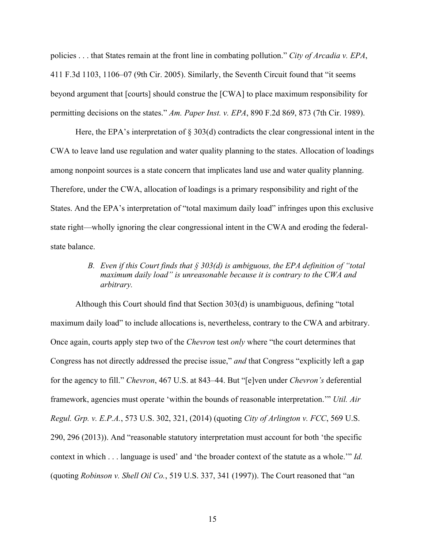policies . . . that States remain at the front line in combating pollution." *City of Arcadia v. EPA*, 411 F.3d 1103, 1106–07 (9th Cir. 2005). Similarly, the Seventh Circuit found that "it seems beyond argument that [courts] should construe the [CWA] to place maximum responsibility for permitting decisions on the states." *Am. Paper Inst. v. EPA*, 890 F.2d 869, 873 (7th Cir. 1989).

Here, the EPA's interpretation of  $\S 303(d)$  contradicts the clear congressional intent in the CWA to leave land use regulation and water quality planning to the states. Allocation of loadings among nonpoint sources is a state concern that implicates land use and water quality planning. Therefore, under the CWA, allocation of loadings is a primary responsibility and right of the States. And the EPA's interpretation of "total maximum daily load" infringes upon this exclusive state right—wholly ignoring the clear congressional intent in the CWA and eroding the federalstate balance.

## *B. Even if this Court finds that § 303(d) is ambiguous, the EPA definition of "total maximum daily load" is unreasonable because it is contrary to the CWA and arbitrary.*

Although this Court should find that Section 303(d) is unambiguous, defining "total maximum daily load" to include allocations is, nevertheless, contrary to the CWA and arbitrary. Once again, courts apply step two of the *Chevron* test *only* where "the court determines that Congress has not directly addressed the precise issue," *and* that Congress "explicitly left a gap for the agency to fill." *Chevron*, 467 U.S. at 843–44. But "[e]ven under *Chevron's* deferential framework, agencies must operate 'within the bounds of reasonable interpretation.'" *Util. Air Regul. Grp. v. E.P.A.*, 573 U.S. 302, 321, (2014) (quoting *City of Arlington v. FCC*, 569 U.S. 290, 296 (2013)). And "reasonable statutory interpretation must account for both 'the specific context in which . . . language is used' and 'the broader context of the statute as a whole.'" *Id.* (quoting *Robinson v. Shell Oil Co.*, 519 U.S. 337, 341 (1997)). The Court reasoned that "an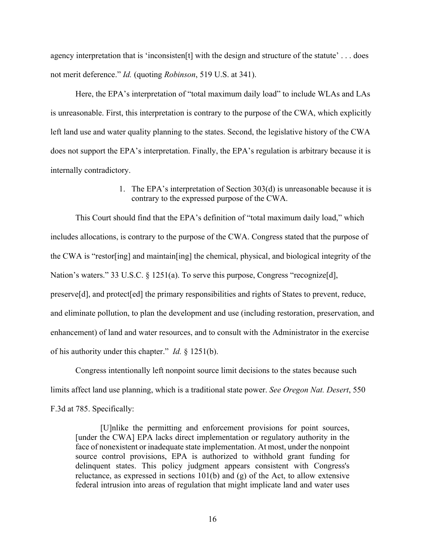agency interpretation that is 'inconsisten[t] with the design and structure of the statute' . . . does not merit deference." *Id.* (quoting *Robinson*, 519 U.S. at 341).

Here, the EPA's interpretation of "total maximum daily load" to include WLAs and LAs is unreasonable. First, this interpretation is contrary to the purpose of the CWA, which explicitly left land use and water quality planning to the states. Second, the legislative history of the CWA does not support the EPA's interpretation. Finally, the EPA's regulation is arbitrary because it is internally contradictory.

> 1. The EPA's interpretation of Section 303(d) is unreasonable because it is contrary to the expressed purpose of the CWA.

This Court should find that the EPA's definition of "total maximum daily load," which includes allocations, is contrary to the purpose of the CWA. Congress stated that the purpose of the CWA is "restor[ing] and maintain[ing] the chemical, physical, and biological integrity of the Nation's waters." 33 U.S.C. § 1251(a). To serve this purpose, Congress "recognize[d], preserve[d], and protect[ed] the primary responsibilities and rights of States to prevent, reduce, and eliminate pollution, to plan the development and use (including restoration, preservation, and enhancement) of land and water resources, and to consult with the Administrator in the exercise of his authority under this chapter." *Id.* § 1251(b).

Congress intentionally left nonpoint source limit decisions to the states because such limits affect land use planning, which is a traditional state power. *See Oregon Nat. Desert*, 550 F.3d at 785. Specifically:

[U]nlike the permitting and enforcement provisions for point sources, [under the CWA] EPA lacks direct implementation or regulatory authority in the face of nonexistent or inadequate state implementation. At most, under the nonpoint source control provisions, EPA is authorized to withhold grant funding for delinquent states. This policy judgment appears consistent with Congress's reluctance, as expressed in sections 101(b) and (g) of the Act, to allow extensive federal intrusion into areas of regulation that might implicate land and water uses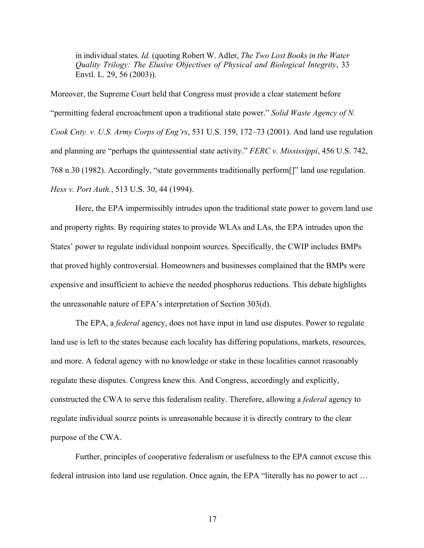in individual states. *Id.* (quoting Robert W. Adler, *The Two Lost Books in the Water Quality Trilogy: The Elusive Objectives of Physical and Biological Integrity*, 33 Envtl. L. 29, 56 (2003)).

Moreover, the Supreme Court held that Congress must provide a clear statement before "permitting federal encroachment upon a traditional state power." *Solid Waste Agency of N. Cook Cnty. v. U.S. Army Corps of Eng'rs*, 531 U.S. 159, 172–73 (2001). And land use regulation and planning are "perhaps the quintessential state activity." *FERC v. Mississippi*, 456 U.S. 742, 768 n.30 (1982). Accordingly, "state governments traditionally perform[]" land use regulation. *Hess v. Port Auth.*, 513 U.S. 30, 44 (1994).

Here, the EPA impermissibly intrudes upon the traditional state power to govern land use and property rights. By requiring states to provide WLAs and LAs, the EPA intrudes upon the States' power to regulate individual nonpoint sources. Specifically, the CWIP includes BMPs that proved highly controversial. Homeowners and businesses complained that the BMPs were expensive and insufficient to achieve the needed phosphorus reductions. This debate highlights the unreasonable nature of EPA's interpretation of Section 303(d).

The EPA, a *federal* agency, does not have input in land use disputes. Power to regulate land use is left to the states because each locality has differing populations, markets, resources, and more. A federal agency with no knowledge or stake in these localities cannot reasonably regulate these disputes. Congress knew this. And Congress, accordingly and explicitly, constructed the CWA to serve this federalism reality. Therefore, allowing a *federal* agency to regulate individual source points is unreasonable because it is directly contrary to the clear purpose of the CWA.

Further, principles of cooperative federalism or usefulness to the EPA cannot excuse this federal intrusion into land use regulation. Once again, the EPA "literally has no power to act …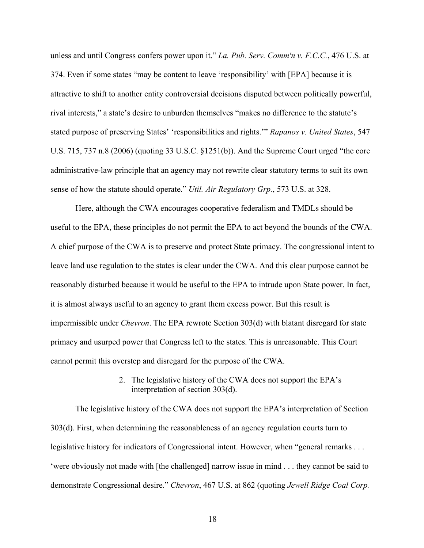unless and until Congress confers power upon it." *La. Pub. Serv. Comm'n v. F.C.C.*, 476 U.S. at 374. Even if some states "may be content to leave 'responsibility' with [EPA] because it is attractive to shift to another entity controversial decisions disputed between politically powerful, rival interests," a state's desire to unburden themselves "makes no difference to the statute's stated purpose of preserving States' 'responsibilities and rights.'" *Rapanos v. United States*, 547 U.S. 715, 737 n.8 (2006) (quoting 33 U.S.C. §1251(b)). And the Supreme Court urged "the core administrative-law principle that an agency may not rewrite clear statutory terms to suit its own sense of how the statute should operate." *Util. Air Regulatory Grp.*, 573 U.S. at 328.

Here, although the CWA encourages cooperative federalism and TMDLs should be useful to the EPA, these principles do not permit the EPA to act beyond the bounds of the CWA. A chief purpose of the CWA is to preserve and protect State primacy. The congressional intent to leave land use regulation to the states is clear under the CWA. And this clear purpose cannot be reasonably disturbed because it would be useful to the EPA to intrude upon State power. In fact, it is almost always useful to an agency to grant them excess power. But this result is impermissible under *Chevron*. The EPA rewrote Section 303(d) with blatant disregard for state primacy and usurped power that Congress left to the states. This is unreasonable. This Court cannot permit this overstep and disregard for the purpose of the CWA.

#### 2. The legislative history of the CWA does not support the EPA's interpretation of section 303(d).

The legislative history of the CWA does not support the EPA's interpretation of Section 303(d). First, when determining the reasonableness of an agency regulation courts turn to legislative history for indicators of Congressional intent. However, when "general remarks . . . 'were obviously not made with [the challenged] narrow issue in mind . . . they cannot be said to demonstrate Congressional desire." *Chevron*, 467 U.S. at 862 (quoting *Jewell Ridge Coal Corp.*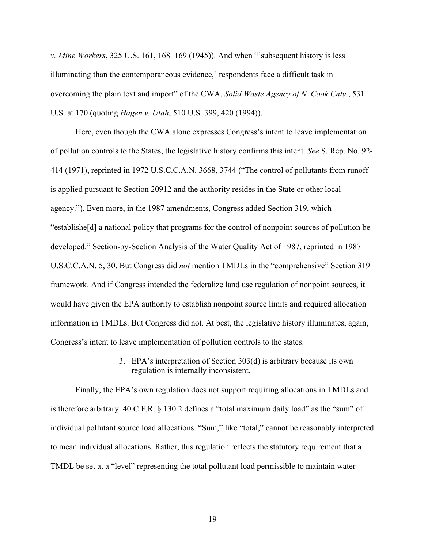*v. Mine Workers*, 325 U.S. 161, 168–169 (1945)). And when "'subsequent history is less illuminating than the contemporaneous evidence,' respondents face a difficult task in overcoming the plain text and import" of the CWA. *Solid Waste Agency of N. Cook Cnty.*, 531 U.S. at 170 (quoting *Hagen v. Utah*, 510 U.S. 399, 420 (1994)).

Here, even though the CWA alone expresses Congress's intent to leave implementation of pollution controls to the States, the legislative history confirms this intent. *See* S. Rep. No. 92- 414 (1971), reprinted in 1972 U.S.C.C.A.N. 3668, 3744 ("The control of pollutants from runoff is applied pursuant to Section 20912 and the authority resides in the State or other local agency."). Even more, in the 1987 amendments, Congress added Section 319, which "establishe[d] a national policy that programs for the control of nonpoint sources of pollution be developed." Section-by-Section Analysis of the Water Quality Act of 1987, reprinted in 1987 U.S.C.C.A.N. 5, 30. But Congress did *not* mention TMDLs in the "comprehensive" Section 319 framework. And if Congress intended the federalize land use regulation of nonpoint sources, it would have given the EPA authority to establish nonpoint source limits and required allocation information in TMDLs. But Congress did not. At best, the legislative history illuminates, again, Congress's intent to leave implementation of pollution controls to the states.

## 3. EPA's interpretation of Section 303(d) is arbitrary because its own regulation is internally inconsistent.

Finally, the EPA's own regulation does not support requiring allocations in TMDLs and is therefore arbitrary. 40 C.F.R. § 130.2 defines a "total maximum daily load" as the "sum" of individual pollutant source load allocations. "Sum," like "total," cannot be reasonably interpreted to mean individual allocations. Rather, this regulation reflects the statutory requirement that a TMDL be set at a "level" representing the total pollutant load permissible to maintain water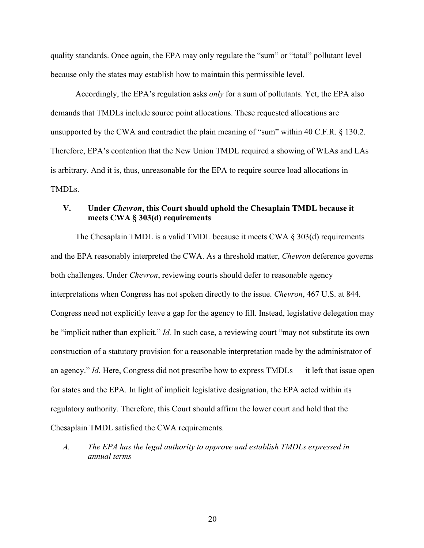quality standards. Once again, the EPA may only regulate the "sum" or "total" pollutant level because only the states may establish how to maintain this permissible level.

Accordingly, the EPA's regulation asks *only* for a sum of pollutants. Yet, the EPA also demands that TMDLs include source point allocations. These requested allocations are unsupported by the CWA and contradict the plain meaning of "sum" within 40 C.F.R. § 130.2. Therefore, EPA's contention that the New Union TMDL required a showing of WLAs and LAs is arbitrary. And it is, thus, unreasonable for the EPA to require source load allocations in TMDLs.

## **V. Under** *Chevron***, this Court should uphold the Chesaplain TMDL because it meets CWA § 303(d) requirements**

The Chesaplain TMDL is a valid TMDL because it meets CWA  $\S 303(d)$  requirements and the EPA reasonably interpreted the CWA. As a threshold matter, *Chevron* deference governs both challenges. Under *Chevron*, reviewing courts should defer to reasonable agency interpretations when Congress has not spoken directly to the issue. *Chevron*, 467 U.S. at 844. Congress need not explicitly leave a gap for the agency to fill. Instead, legislative delegation may be "implicit rather than explicit." *Id.* In such case, a reviewing court "may not substitute its own construction of a statutory provision for a reasonable interpretation made by the administrator of an agency." *Id.* Here, Congress did not prescribe how to express TMDLs — it left that issue open for states and the EPA. In light of implicit legislative designation, the EPA acted within its regulatory authority. Therefore, this Court should affirm the lower court and hold that the Chesaplain TMDL satisfied the CWA requirements.

*A. The EPA has the legal authority to approve and establish TMDLs expressed in annual terms*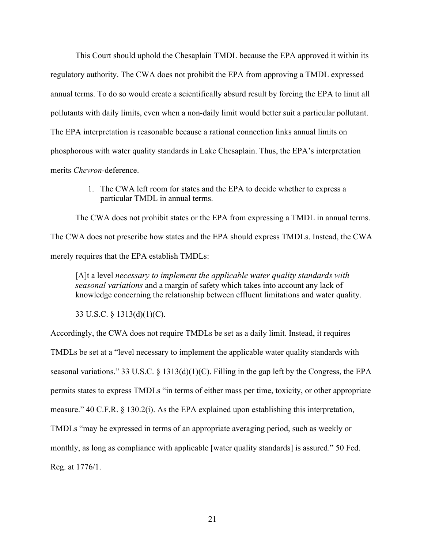This Court should uphold the Chesaplain TMDL because the EPA approved it within its regulatory authority. The CWA does not prohibit the EPA from approving a TMDL expressed annual terms. To do so would create a scientifically absurd result by forcing the EPA to limit all pollutants with daily limits, even when a non-daily limit would better suit a particular pollutant. The EPA interpretation is reasonable because a rational connection links annual limits on phosphorous with water quality standards in Lake Chesaplain. Thus, the EPA's interpretation merits *Chevron*-deference.

> 1. The CWA left room for states and the EPA to decide whether to express a particular TMDL in annual terms.

The CWA does not prohibit states or the EPA from expressing a TMDL in annual terms. The CWA does not prescribe how states and the EPA should express TMDLs. Instead, the CWA merely requires that the EPA establish TMDLs:

[A]t a level *necessary to implement the applicable water quality standards with seasonal variations* and a margin of safety which takes into account any lack of knowledge concerning the relationship between effluent limitations and water quality.

33 U.S.C. § 1313(d)(1)(C).

Accordingly, the CWA does not require TMDLs be set as a daily limit. Instead, it requires TMDLs be set at a "level necessary to implement the applicable water quality standards with seasonal variations." 33 U.S.C. § 1313(d)(1)(C). Filling in the gap left by the Congress, the EPA permits states to express TMDLs "in terms of either mass per time, toxicity, or other appropriate measure." 40 C.F.R. § 130.2(i). As the EPA explained upon establishing this interpretation, TMDLs "may be expressed in terms of an appropriate averaging period, such as weekly or monthly, as long as compliance with applicable [water quality standards] is assured." 50 Fed. Reg. at 1776/1.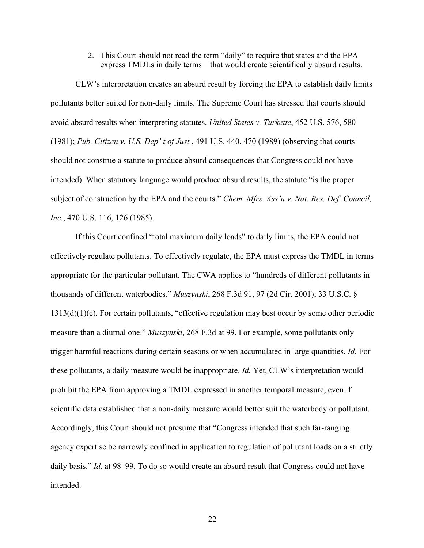2. This Court should not read the term "daily" to require that states and the EPA express TMDLs in daily terms—that would create scientifically absurd results.

CLW's interpretation creates an absurd result by forcing the EPA to establish daily limits pollutants better suited for non-daily limits. The Supreme Court has stressed that courts should avoid absurd results when interpreting statutes. *United States v. Turkette*, 452 U.S. 576, 580 (1981); *Pub. Citizen v. U.S. Dep' t of Just.*, 491 U.S. 440, 470 (1989) (observing that courts should not construe a statute to produce absurd consequences that Congress could not have intended). When statutory language would produce absurd results, the statute "is the proper subject of construction by the EPA and the courts." *Chem. Mfrs. Ass'n v. Nat. Res. Def. Council, Inc.*, 470 U.S. 116, 126 (1985).

If this Court confined "total maximum daily loads" to daily limits, the EPA could not effectively regulate pollutants. To effectively regulate, the EPA must express the TMDL in terms appropriate for the particular pollutant. The CWA applies to "hundreds of different pollutants in thousands of different waterbodies." *Muszynski*, 268 F.3d 91, 97 (2d Cir. 2001); 33 U.S.C. § 1313(d)(1)(c). For certain pollutants, "effective regulation may best occur by some other periodic measure than a diurnal one." *Muszynski*, 268 F.3d at 99. For example, some pollutants only trigger harmful reactions during certain seasons or when accumulated in large quantities. *Id.* For these pollutants, a daily measure would be inappropriate. *Id.* Yet, CLW's interpretation would prohibit the EPA from approving a TMDL expressed in another temporal measure, even if scientific data established that a non-daily measure would better suit the waterbody or pollutant. Accordingly, this Court should not presume that "Congress intended that such far-ranging agency expertise be narrowly confined in application to regulation of pollutant loads on a strictly daily basis." *Id.* at 98–99. To do so would create an absurd result that Congress could not have intended.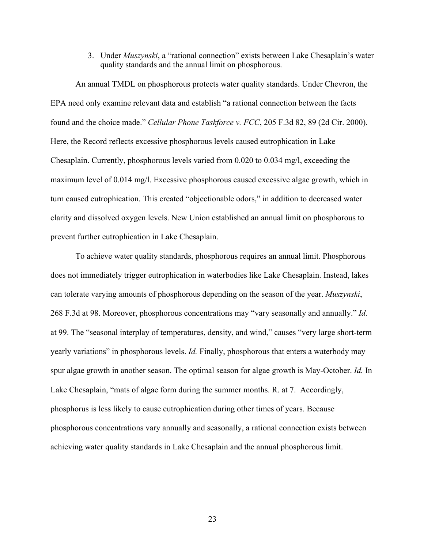3. Under *Muszynski*, a "rational connection" exists between Lake Chesaplain's water quality standards and the annual limit on phosphorous.

An annual TMDL on phosphorous protects water quality standards. Under Chevron, the EPA need only examine relevant data and establish "a rational connection between the facts found and the choice made." *Cellular Phone Taskforce v. FCC*, 205 F.3d 82, 89 (2d Cir. 2000). Here, the Record reflects excessive phosphorous levels caused eutrophication in Lake Chesaplain. Currently, phosphorous levels varied from 0.020 to 0.034 mg/l, exceeding the maximum level of 0.014 mg/l. Excessive phosphorous caused excessive algae growth, which in turn caused eutrophication. This created "objectionable odors," in addition to decreased water clarity and dissolved oxygen levels. New Union established an annual limit on phosphorous to prevent further eutrophication in Lake Chesaplain.

To achieve water quality standards, phosphorous requires an annual limit. Phosphorous does not immediately trigger eutrophication in waterbodies like Lake Chesaplain. Instead, lakes can tolerate varying amounts of phosphorous depending on the season of the year. *Muszynski*, 268 F.3d at 98. Moreover, phosphorous concentrations may "vary seasonally and annually." *Id.* at 99. The "seasonal interplay of temperatures, density, and wind," causes "very large short-term yearly variations" in phosphorous levels. *Id.* Finally, phosphorous that enters a waterbody may spur algae growth in another season. The optimal season for algae growth is May-October. *Id.* In Lake Chesaplain, "mats of algae form during the summer months. R. at 7. Accordingly, phosphorus is less likely to cause eutrophication during other times of years. Because phosphorous concentrations vary annually and seasonally, a rational connection exists between achieving water quality standards in Lake Chesaplain and the annual phosphorous limit.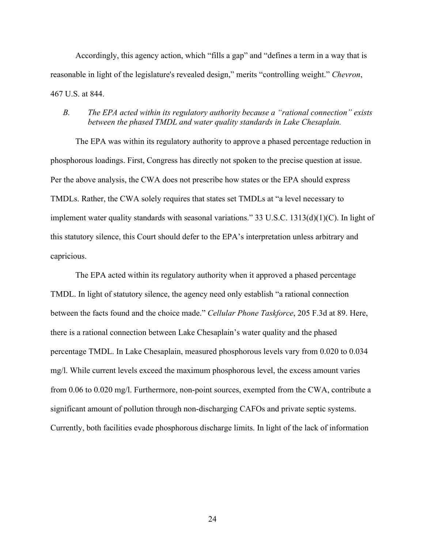Accordingly, this agency action, which "fills a gap" and "defines a term in a way that is reasonable in light of the legislature's revealed design," merits "controlling weight." *Chevron*, 467 U.S. at 844.

## *B. The EPA acted within its regulatory authority because a "rational connection" exists between the phased TMDL and water quality standards in Lake Chesaplain.*

The EPA was within its regulatory authority to approve a phased percentage reduction in phosphorous loadings. First, Congress has directly not spoken to the precise question at issue. Per the above analysis, the CWA does not prescribe how states or the EPA should express TMDLs. Rather, the CWA solely requires that states set TMDLs at "a level necessary to implement water quality standards with seasonal variations." 33 U.S.C. 1313(d)(1)(C). In light of this statutory silence, this Court should defer to the EPA's interpretation unless arbitrary and capricious.

The EPA acted within its regulatory authority when it approved a phased percentage TMDL. In light of statutory silence, the agency need only establish "a rational connection between the facts found and the choice made." *Cellular Phone Taskforce*, 205 F.3d at 89. Here, there is a rational connection between Lake Chesaplain's water quality and the phased percentage TMDL. In Lake Chesaplain, measured phosphorous levels vary from 0.020 to 0.034 mg/l. While current levels exceed the maximum phosphorous level, the excess amount varies from 0.06 to 0.020 mg/l. Furthermore, non-point sources, exempted from the CWA, contribute a significant amount of pollution through non-discharging CAFOs and private septic systems. Currently, both facilities evade phosphorous discharge limits. In light of the lack of information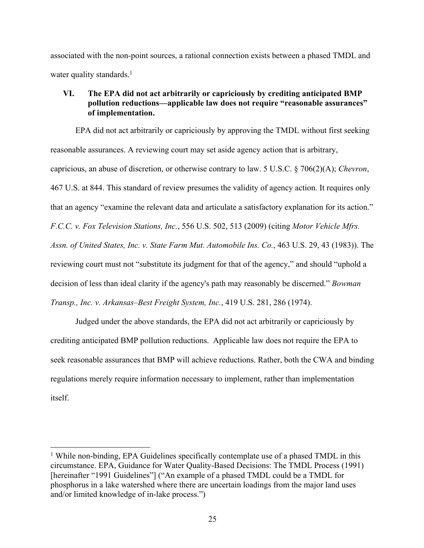associated with the non-point sources, a rational connection exists between a phased TMDL and water quality standards. $<sup>1</sup>$ </sup>

## **VI. The EPA did not act arbitrarily or capriciously by crediting anticipated BMP pollution reductions—applicable law does not require "reasonable assurances" of implementation.**

EPA did not act arbitrarily or capriciously by approving the TMDL without first seeking reasonable assurances. A reviewing court may set aside agency action that is arbitrary, capricious, an abuse of discretion, or otherwise contrary to law. 5 U.S.C. § 706(2)(A); *Chevron*, 467 U.S. at 844. This standard of review presumes the validity of agency action. It requires only that an agency "examine the relevant data and articulate a satisfactory explanation for its action." *F.C.C. v. Fox Television Stations, Inc.*, 556 U.S. 502, 513 (2009) (citing *Motor Vehicle Mfrs. Assn. of United States, Inc. v. State Farm Mut. Automobile Ins. Co.*, 463 U.S. 29, 43 (1983)). The reviewing court must not "substitute its judgment for that of the agency," and should "uphold a decision of less than ideal clarity if the agency's path may reasonably be discerned." *Bowman Transp., Inc. v. Arkansas–Best Freight System, Inc.*, 419 U.S. 281, 286 (1974).

Judged under the above standards, the EPA did not act arbitrarily or capriciously by crediting anticipated BMP pollution reductions. Applicable law does not require the EPA to seek reasonable assurances that BMP will achieve reductions. Rather, both the CWA and binding regulations merely require information necessary to implement, rather than implementation itself.

<sup>&</sup>lt;sup>1</sup> While non-binding, EPA Guidelines specifically contemplate use of a phased TMDL in this circumstance. EPA, Guidance for Water Quality-Based Decisions: The TMDL Process (1991) [hereinafter "1991 Guidelines"] ("An example of a phased TMDL could be a TMDL for phosphorus in a lake watershed where there are uncertain loadings from the major land uses and/or limited knowledge of in-lake process.")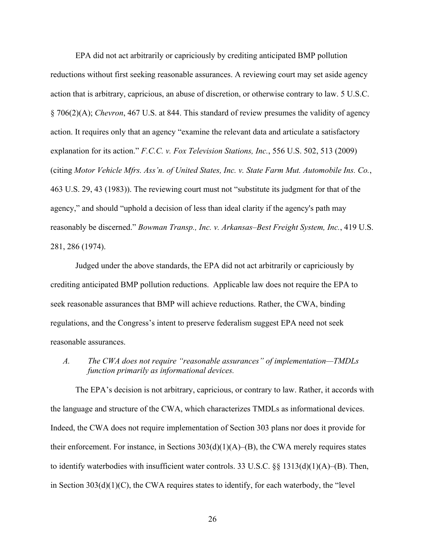EPA did not act arbitrarily or capriciously by crediting anticipated BMP pollution reductions without first seeking reasonable assurances. A reviewing court may set aside agency action that is arbitrary, capricious, an abuse of discretion, or otherwise contrary to law. 5 U.S.C. § 706(2)(A); *Chevron*, 467 U.S. at 844. This standard of review presumes the validity of agency action. It requires only that an agency "examine the relevant data and articulate a satisfactory explanation for its action." *F.C.C. v. Fox Television Stations, Inc.*, 556 U.S. 502, 513 (2009) (citing *Motor Vehicle Mfrs. Ass'n. of United States, Inc. v. State Farm Mut. Automobile Ins. Co.*, 463 U.S. 29, 43 (1983)). The reviewing court must not "substitute its judgment for that of the agency," and should "uphold a decision of less than ideal clarity if the agency's path may reasonably be discerned." *Bowman Transp., Inc. v. Arkansas–Best Freight System, Inc.*, 419 U.S. 281, 286 (1974).

Judged under the above standards, the EPA did not act arbitrarily or capriciously by crediting anticipated BMP pollution reductions. Applicable law does not require the EPA to seek reasonable assurances that BMP will achieve reductions. Rather, the CWA, binding regulations, and the Congress's intent to preserve federalism suggest EPA need not seek reasonable assurances.

*A. The CWA does not require "reasonable assurances" of implementation—TMDLs function primarily as informational devices.*

The EPA's decision is not arbitrary, capricious, or contrary to law. Rather, it accords with the language and structure of the CWA, which characterizes TMDLs as informational devices. Indeed, the CWA does not require implementation of Section 303 plans nor does it provide for their enforcement. For instance, in Sections  $303(d)(1)(A)$ –(B), the CWA merely requires states to identify waterbodies with insufficient water controls. 33 U.S.C. §§ 1313(d)(1)(A)–(B). Then, in Section 303(d)(1)(C), the CWA requires states to identify, for each waterbody, the "level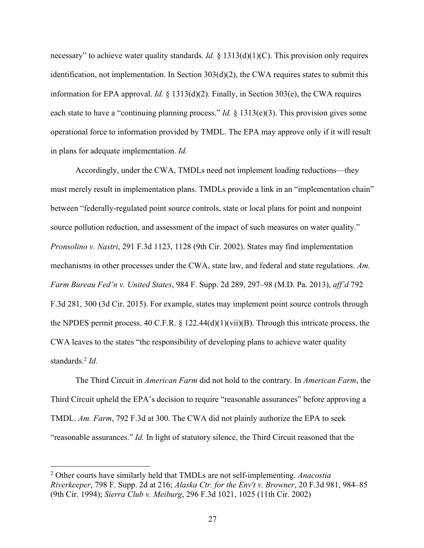necessary" to achieve water quality standards. *Id.* § 1313(d)(1)(C). This provision only requires identification, not implementation. In Section 303(d)(2), the CWA requires states to submit this information for EPA approval. *Id.* § 1313(d)(2). Finally, in Section 303(e), the CWA requires each state to have a "continuing planning process." *Id.* § 1313(e)(3). This provision gives some operational force to information provided by TMDL. The EPA may approve only if it will result in plans for adequate implementation. *Id.*

Accordingly, under the CWA, TMDLs need not implement loading reductions—they must merely result in implementation plans. TMDLs provide a link in an "implementation chain" between "federally-regulated point source controls, state or local plans for point and nonpoint source pollution reduction, and assessment of the impact of such measures on water quality." *Pronsolino v. Nastri*, 291 F.3d 1123, 1128 (9th Cir. 2002). States may find implementation mechanisms in other processes under the CWA, state law, and federal and state regulations. *Am. Farm Bureau Fed'n v. United States*, 984 F. Supp. 2d 289, 297–98 (M.D. Pa. 2013), *aff'd* 792 F.3d 281, 300 (3d Cir. 2015). For example, states may implement point source controls through the NPDES permit process. 40 C.F.R.  $\S$  122.44(d)(1)(vii)(B). Through this intricate process, the CWA leaves to the states "the responsibility of developing plans to achieve water quality standards.2 *Id.*

The Third Circuit in *American Farm* did not hold to the contrary. In *American Farm*, the Third Circuit upheld the EPA's decision to require "reasonable assurances" before approving a TMDL. *Am. Farm*, 792 F.3d at 300. The CWA did not plainly authorize the EPA to seek "reasonable assurances." *Id.* In light of statutory silence, the Third Circuit reasoned that the

<sup>2</sup> Other courts have similarly held that TMDLs are not self-implementing. *Anacostia Riverkeeper*, 798 F. Supp. 2d at 216; *Alaska Ctr. for the Env't v. Browner*, 20 F.3d 981, 984–85 (9th Cir. 1994); *Sierra Club v. Meiburg*, 296 F.3d 1021, 1025 (11th Cir. 2002)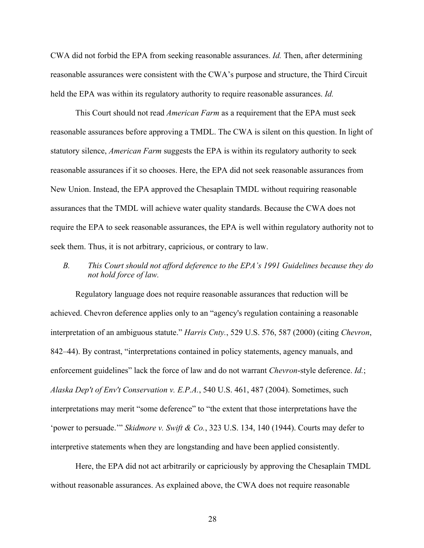CWA did not forbid the EPA from seeking reasonable assurances. *Id.* Then, after determining reasonable assurances were consistent with the CWA's purpose and structure, the Third Circuit held the EPA was within its regulatory authority to require reasonable assurances. *Id.*

This Court should not read *American Farm* as a requirement that the EPA must seek reasonable assurances before approving a TMDL. The CWA is silent on this question. In light of statutory silence, *American Farm* suggests the EPA is within its regulatory authority to seek reasonable assurances if it so chooses. Here, the EPA did not seek reasonable assurances from New Union. Instead, the EPA approved the Chesaplain TMDL without requiring reasonable assurances that the TMDL will achieve water quality standards. Because the CWA does not require the EPA to seek reasonable assurances, the EPA is well within regulatory authority not to seek them. Thus, it is not arbitrary, capricious, or contrary to law.

## *B. This Court should not afford deference to the EPA's 1991 Guidelines because they do not hold force of law.*

Regulatory language does not require reasonable assurances that reduction will be achieved. Chevron deference applies only to an "agency's regulation containing a reasonable interpretation of an ambiguous statute." *Harris Cnty.*, 529 U.S. 576, 587 (2000) (citing *Chevron*, 842–44). By contrast, "interpretations contained in policy statements, agency manuals, and enforcement guidelines" lack the force of law and do not warrant *Chevron*-style deference. *Id.*; *Alaska Dep't of Env't Conservation v. E.P.A.*, 540 U.S. 461, 487 (2004). Sometimes, such interpretations may merit "some deference" to "the extent that those interpretations have the 'power to persuade.'" *Skidmore v. Swift & Co.*, 323 U.S. 134, 140 (1944). Courts may defer to interpretive statements when they are longstanding and have been applied consistently.

Here, the EPA did not act arbitrarily or capriciously by approving the Chesaplain TMDL without reasonable assurances. As explained above, the CWA does not require reasonable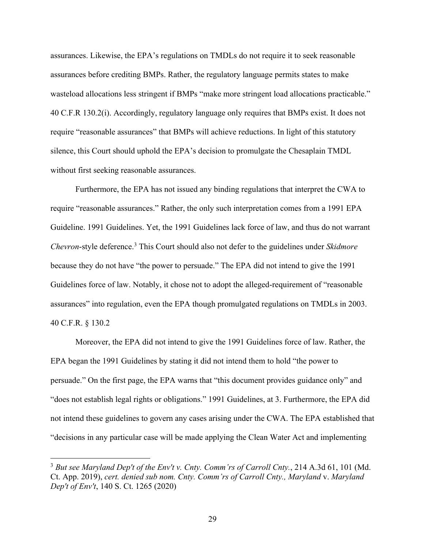assurances. Likewise, the EPA's regulations on TMDLs do not require it to seek reasonable assurances before crediting BMPs. Rather, the regulatory language permits states to make wasteload allocations less stringent if BMPs "make more stringent load allocations practicable." 40 C.F.R 130.2(i). Accordingly, regulatory language only requires that BMPs exist. It does not require "reasonable assurances" that BMPs will achieve reductions. In light of this statutory silence, this Court should uphold the EPA's decision to promulgate the Chesaplain TMDL without first seeking reasonable assurances.

Furthermore, the EPA has not issued any binding regulations that interpret the CWA to require "reasonable assurances." Rather, the only such interpretation comes from a 1991 EPA Guideline. 1991 Guidelines. Yet, the 1991 Guidelines lack force of law, and thus do not warrant *Chevron*-style deference.3 This Court should also not defer to the guidelines under *Skidmore* because they do not have "the power to persuade." The EPA did not intend to give the 1991 Guidelines force of law. Notably, it chose not to adopt the alleged-requirement of "reasonable assurances" into regulation, even the EPA though promulgated regulations on TMDLs in 2003. 40 C.F.R. § 130.2

Moreover, the EPA did not intend to give the 1991 Guidelines force of law. Rather, the EPA began the 1991 Guidelines by stating it did not intend them to hold "the power to persuade." On the first page, the EPA warns that "this document provides guidance only" and "does not establish legal rights or obligations." 1991 Guidelines, at 3. Furthermore, the EPA did not intend these guidelines to govern any cases arising under the CWA. The EPA established that "decisions in any particular case will be made applying the Clean Water Act and implementing

<sup>3</sup> *But see Maryland Dep't of the Env't v. Cnty. Comm'rs of Carroll Cnty.*, 214 A.3d 61, 101 (Md. Ct. App. 2019), *cert. denied sub nom. Cnty. Comm'rs of Carroll Cnty., Maryland* v. *Maryland Dep't of Env't*, 140 S. Ct. 1265 (2020)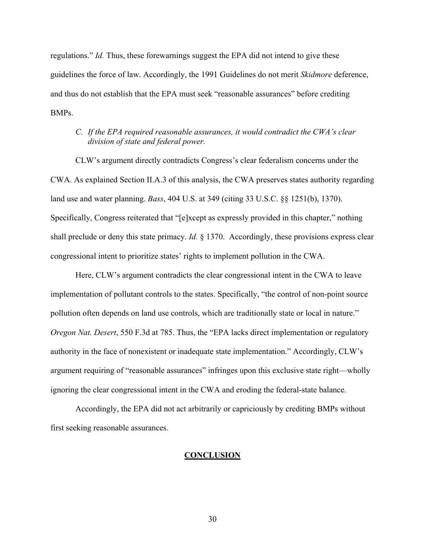regulations." *Id.* Thus, these forewarnings suggest the EPA did not intend to give these guidelines the force of law. Accordingly, the 1991 Guidelines do not merit *Skidmore* deference, and thus do not establish that the EPA must seek "reasonable assurances" before crediting BMPs.

### *C. If the EPA required reasonable assurances, it would contradict the CWA's clear division of state and federal power.*

CLW's argument directly contradicts Congress's clear federalism concerns under the CWA. As explained Section II.A.3 of this analysis, the CWA preserves states authority regarding land use and water planning. *Bass*, 404 U.S. at 349 (citing 33 U.S.C. §§ 1251(b), 1370). Specifically, Congress reiterated that "[e]xcept as expressly provided in this chapter," nothing shall preclude or deny this state primacy. *Id.* § 1370. Accordingly, these provisions express clear congressional intent to prioritize states' rights to implement pollution in the CWA.

Here, CLW's argument contradicts the clear congressional intent in the CWA to leave implementation of pollutant controls to the states. Specifically, "the control of non-point source pollution often depends on land use controls, which are traditionally state or local in nature." *Oregon Nat. Desert*, 550 F.3d at 785. Thus, the "EPA lacks direct implementation or regulatory authority in the face of nonexistent or inadequate state implementation." Accordingly, CLW's argument requiring of "reasonable assurances" infringes upon this exclusive state right—wholly ignoring the clear congressional intent in the CWA and eroding the federal-state balance.

Accordingly, the EPA did not act arbitrarily or capriciously by crediting BMPs without first seeking reasonable assurances.

#### **CONCLUSION**